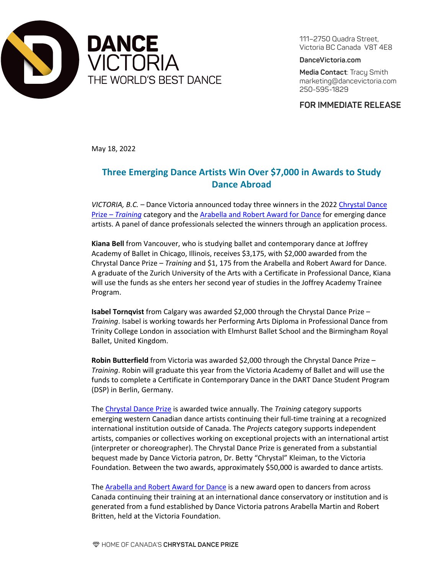

111–2750 Quadra Street, Victoria BC Canada V8T 4E8

**DanceVictoria.com**

**Media Contact**: Tracy Smith marketing@dancevictoria.com 250-595-1829

**FOR IMMEDIATE RELEASE**

May 18, 2022

## **Three Emerging Dance Artists Win Over \$7,000 in Awards to Study Dance Abroad**

*VICTORIA, B.C. –* Dance Victoria announced today three winners in the 2022 [Chrystal Dance](https://dancevictoria.com/create/chrystal-dance-prize-training/)  Prize – *[Training](https://dancevictoria.com/create/chrystal-dance-prize-training/)* category and the Arabella [and Robert Award for Dance](https://dancevictoria.com/create/chrystal-dance-prize-training/chrystal-dance-prize-training-guidelines/) for emerging dance artists. A panel of dance professionals selected the winners through an application process.

**Kiana Bell** from Vancouver, who is studying ballet and contemporary dance at Joffrey Academy of Ballet in Chicago, Illinois, receives \$3,175, with \$2,000 awarded from the Chrystal Dance Prize – *Training* and \$1, 175 from the Arabella and Robert Award for Dance. A graduate of the Zurich University of the Arts with a Certificate in Professional Dance, Kiana will use the funds as she enters her second year of studies in the Joffrey Academy Trainee Program.

**Isabel Tornqvist** from Calgary was awarded \$2,000 through the Chrystal Dance Prize – *Training*. Isabel is working towards her Performing Arts Diploma in Professional Dance from Trinity College London in association with Elmhurst Ballet School and the Birmingham Royal Ballet, United Kingdom.

**Robin Butterfield** from Victoria was awarded \$2,000 through the Chrystal Dance Prize – *Training*. Robin will graduate this year from the Victoria Academy of Ballet and will use the funds to complete a Certificate in Contemporary Dance in the DART Dance Student Program (DSP) in Berlin, Germany.

The [Chrystal Dance Prize](https://dancevictoria.com/create/) is awarded twice annually. The *Training* category supports emerging western Canadian dance artists continuing their full-time training at a recognized international institution outside of Canada. The *Projects* category supports independent artists, companies or collectives working on exceptional projects with an international artist (interpreter or choreographer). The Chrystal Dance Prize is generated from a substantial bequest made by Dance Victoria patron, Dr. Betty "Chrystal" Kleiman, to the Victoria Foundation. Between the two awards, approximately \$50,000 is awarded to dance artists.

The [Arabella and Robert Award for Dance](https://dancevictoria.com/create/chrystal-dance-prize-training/chrystal-dance-prize-training-guidelines/) is a new award open to dancers from across Canada continuing their training at an international dance conservatory or institution and is generated from a fund established by Dance Victoria patrons Arabella Martin and Robert Britten, held at the Victoria Foundation.